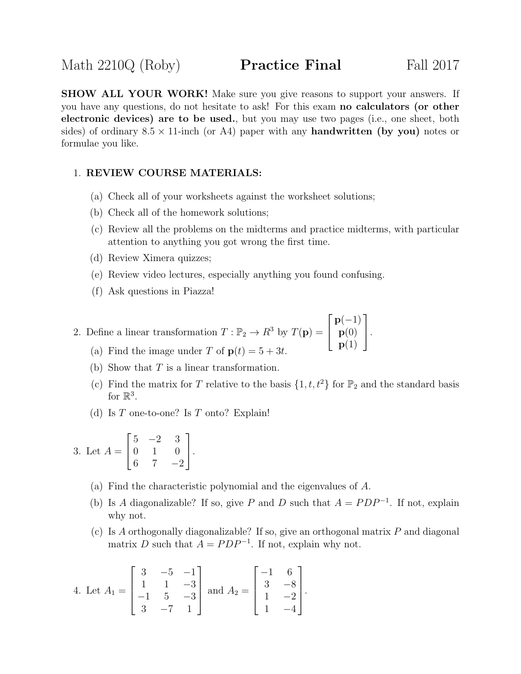**SHOW ALL YOUR WORK!** Make sure you give reasons to support your answers. If you have any questions, do not hesitate to ask! For this exam no calculators (or other electronic devices) are to be used., but you may use two pages (i.e., one sheet, both sides) of ordinary  $8.5 \times 11$ -inch (or A4) paper with any **handwritten (by you)** notes or formulae you like.

## 1. REVIEW COURSE MATERIALS:

- (a) Check all of your worksheets against the worksheet solutions;
- (b) Check all of the homework solutions;
- (c) Review all the problems on the midterms and practice midterms, with particular attention to anything you got wrong the first time.
- (d) Review Ximera quizzes;
- (e) Review video lectures, especially anything you found confusing.
- (f) Ask questions in Piazza!

2. Define a linear transformation  $T : \mathbb{P}_2 \to R^3$  by  $T(\mathbf{p}) =$  $\sqrt{ }$  $\vert$  $p(-1)$  $\mathbf{p}(0)$  ${\bf p}(1)$ 1  $\vert \cdot$ 

- (a) Find the image under T of  $p(t) = 5 + 3t$ .
- (b) Show that  $T$  is a linear transformation.
- (c) Find the matrix for T relative to the basis  $\{1, t, t^2\}$  for  $\mathbb{P}_2$  and the standard basis for  $\mathbb{R}^3$ .
- (d) Is  $T$  one-to-one? Is  $T$  onto? Explain!

3. Let 
$$
A = \begin{bmatrix} 5 & -2 & 3 \\ 0 & 1 & 0 \\ 6 & 7 & -2 \end{bmatrix}
$$
.

- (a) Find the characteristic polynomial and the eigenvalues of A.
- (b) Is A diagonalizable? If so, give P and D such that  $A = PDP^{-1}$ . If not, explain why not.
- (c) Is A orthogonally diagonalizable? If so, give an orthogonal matrix  $P$  and diagonal matrix D such that  $A = PDP^{-1}$ . If not, explain why not.

4. Let 
$$
A_1 = \begin{bmatrix} 3 & -5 & -1 \\ 1 & 1 & -3 \\ -1 & 5 & -3 \\ 3 & -7 & 1 \end{bmatrix}
$$
 and  $A_2 = \begin{bmatrix} -1 & 6 \\ 3 & -8 \\ 1 & -2 \\ 1 & -4 \end{bmatrix}$ .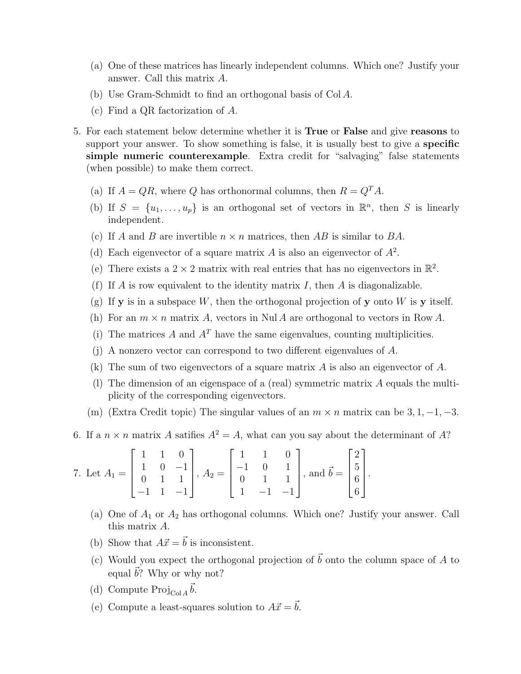- (a) One of these matrices has linearly independent columns. Which one? Justify your answer. Call this matrix A.
- (b) Use Gram-Schmidt to find an orthogonal basis of Col A.
- (c) Find a QR factorization of A.
- 5. For each statement below determine whether it is True or False and give reasons to support your answer. To show something is false, it is usually best to give a **specific** simple numeric counterexample. Extra credit for "salvaging" false statements (when possible) to make them correct.
	- (a) If  $A = QR$ , where Q has orthonormal columns, then  $R = Q<sup>T</sup>A$ .
	- (b) If  $S = \{u_1, \ldots, u_p\}$  is an orthogonal set of vectors in  $\mathbb{R}^n$ , then S is linearly independent.
	- (c) If A and B are invertible  $n \times n$  matrices, then AB is similar to BA.
	- (d) Each eigenvector of a square matrix A is also an eigenvector of  $A^2$ .
	- (e) There exists a  $2 \times 2$  matrix with real entries that has no eigenvectors in  $\mathbb{R}^2$ .
	- (f) If A is row equivalent to the identity matrix I, then A is diagonalizable.
	- (g) If **y** is in a subspace W, then the orthogonal projection of **y** onto W is **y** itself.
	- (h) For an  $m \times n$  matrix A, vectors in Nul A are orthogonal to vectors in Row A.
	- (i) The matrices A and  $A<sup>T</sup>$  have the same eigenvalues, counting multiplicities.
	- (j) A nonzero vector can correspond to two different eigenvalues of A.
	- (k) The sum of two eigenvectors of a square matrix A is also an eigenvector of A.
	- (l) The dimension of an eigenspace of a (real) symmetric matrix A equals the multiplicity of the corresponding eigenvectors.
	- (m) (Extra Credit topic) The singular values of an  $m \times n$  matrix can be 3, 1, -1, -3.
- 6. If a  $n \times n$  matrix A satifies  $A^2 = A$ , what can you say about the determinant of A?

7. Let 
$$
A_1 = \begin{bmatrix} 1 & 1 & 0 \\ 1 & 0 & -1 \\ 0 & 1 & 1 \\ -1 & 1 & -1 \end{bmatrix}
$$
,  $A_2 = \begin{bmatrix} 1 & 1 & 0 \\ -1 & 0 & 1 \\ 0 & 1 & 1 \\ 1 & -1 & -1 \end{bmatrix}$ , and  $\vec{b} = \begin{bmatrix} 2 \\ 5 \\ 6 \\ 6 \end{bmatrix}$ .

- (a) One of  $A_1$  or  $A_2$  has orthogonal columns. Which one? Justify your answer. Call this matrix A.
- (b) Show that  $A\vec{x} = \vec{b}$  is inconsistent.
- (c) Would you expect the orthogonal projection of  $\vec{b}$  onto the column space of A to equal  $\vec{b}$ ? Why or why not?
- (d) Compute  $\operatorname{Proj}_{\operatorname{Col} A} \vec{b}$ .
- (e) Compute a least-squares solution to  $A\vec{x} = \vec{b}$ .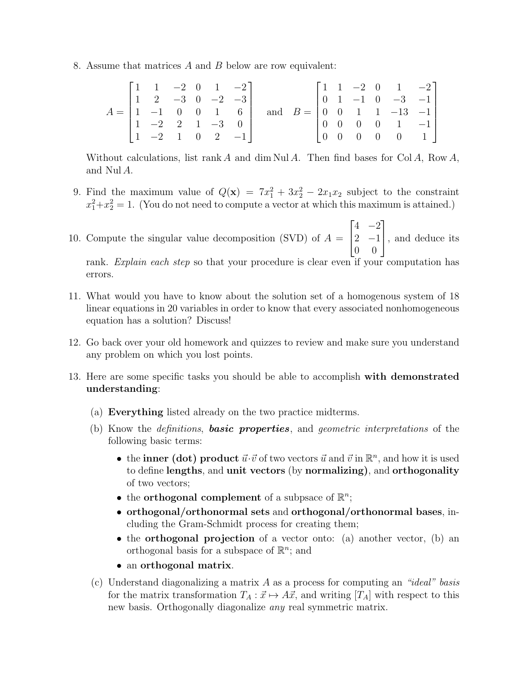8. Assume that matrices A and B below are row equivalent:

|                                                            | $\begin{bmatrix} 1 & 1 & -2 & 0 & 1 & -2 \end{bmatrix}$  |  |  |                                                                  |  |  | $\begin{bmatrix} 1 & 1 & -2 & 0 & 1 & -2 \end{bmatrix}$  |  |
|------------------------------------------------------------|----------------------------------------------------------|--|--|------------------------------------------------------------------|--|--|----------------------------------------------------------|--|
|                                                            | $\begin{vmatrix} 1 & 2 & -3 & 0 & -2 & -3 \end{vmatrix}$ |  |  |                                                                  |  |  | $\begin{vmatrix} 0 & 1 & -1 & 0 & -3 & -1 \end{vmatrix}$ |  |
| $A = \begin{bmatrix} 1 & -1 & 0 & 0 & 1 & 6 \end{bmatrix}$ |                                                          |  |  | and $B = \begin{bmatrix} 0 & 0 & 1 & 1 & -13 & -1 \end{bmatrix}$ |  |  |                                                          |  |
|                                                            | $\begin{vmatrix} 1 & -2 & 2 & 1 & -3 & 0 \end{vmatrix}$  |  |  |                                                                  |  |  | $\begin{bmatrix} 0 & 0 & 0 & 0 & 1 & -1 \end{bmatrix}$   |  |
|                                                            | $\begin{vmatrix} 1 & -2 & 1 & 0 & 2 & -1 \end{vmatrix}$  |  |  |                                                                  |  |  | $\begin{bmatrix} 0 & 0 & 0 & 0 & 0 & 1 \end{bmatrix}$    |  |

Without calculations, list rank A and dim Nul A. Then find bases for  $Col A$ , Row A, and Nul A.

- 9. Find the maximum value of  $Q(\mathbf{x}) = 7x_1^2 + 3x_2^2 2x_1x_2$  subject to the constraint  $x_1^2 + x_2^2 = 1$ . (You do not need to compute a vector at which this maximum is attained.)
- 10. Compute the singular value decomposition (SVD) of  $A =$  $\lceil$  $\overline{\phantom{a}}$  $4 -2$ 2  $-1$ 0 0 1 , and deduce its

rank. Explain each step so that your procedure is clear even if your computation has errors.

- 11. What would you have to know about the solution set of a homogenous system of 18 linear equations in 20 variables in order to know that every associated nonhomogeneous equation has a solution? Discuss!
- 12. Go back over your old homework and quizzes to review and make sure you understand any problem on which you lost points.
- 13. Here are some specific tasks you should be able to accomplish with demonstrated understanding:
	- (a) Everything listed already on the two practice midterms.
	- (b) Know the *definitions*, **basic properties**, and *geometric interpretations* of the following basic terms:
		- the **inner** (dot) product  $\vec{u} \cdot \vec{v}$  of two vectors  $\vec{u}$  and  $\vec{v}$  in  $\mathbb{R}^n$ , and how it is used to define lengths, and unit vectors (by normalizing), and orthogonality of two vectors;
		- the **orthogonal complement** of a subpsace of  $\mathbb{R}^n$ ;
		- orthogonal/orthonormal sets and orthogonal/orthonormal bases, including the Gram-Schmidt process for creating them;
		- the **orthogonal projection** of a vector onto: (a) another vector, (b) an orthogonal basis for a subspace of  $\mathbb{R}^n$ ; and
		- an orthogonal matrix.
	- (c) Understand diagonalizing a matrix  $A$  as a process for computing an "ideal" basis for the matrix transformation  $T_A : \vec{x} \mapsto A\vec{x}$ , and writing  $[T_A]$  with respect to this new basis. Orthogonally diagonalize any real symmetric matrix.